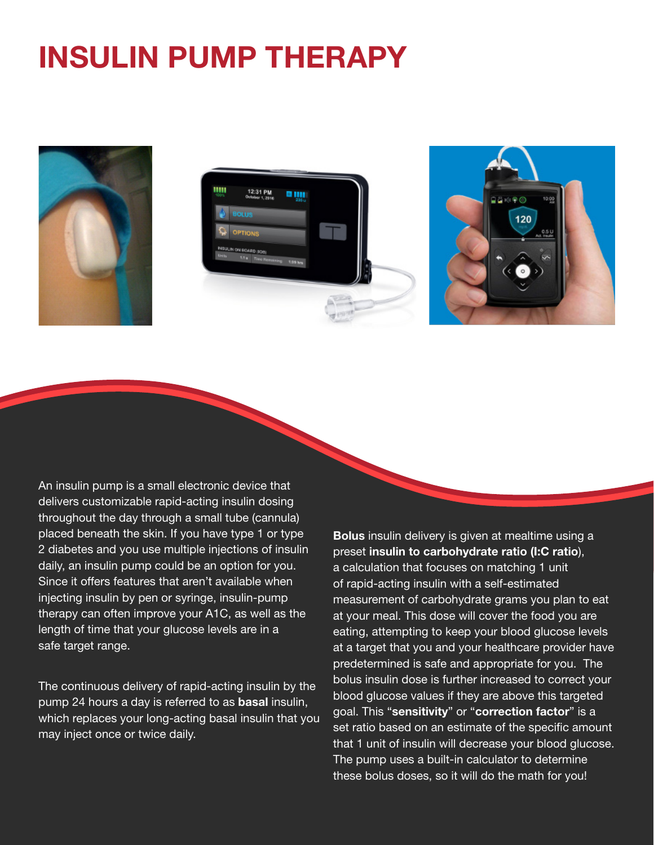## **INSULIN PUMP THERAPY**



An insulin pump is a small electronic device that delivers customizable rapid-acting insulin dosing throughout the day through a small tube (cannula) placed beneath the skin. If you have type 1 or type 2 diabetes and you use multiple injections of insulin daily, an insulin pump could be an option for you. Since it offers features that aren't available when injecting insulin by pen or syringe, insulin-pump therapy can often improve your A1C, as well as the length of time that your glucose levels are in a safe target range.

The continuous delivery of rapid-acting insulin by the pump 24 hours a day is referred to as **basal** insulin, which replaces your long-acting basal insulin that you may inject once or twice daily.

Bolus insulin delivery is given at mealtime using a preset insulin to carbohydrate ratio (I:C ratio), a calculation that focuses on matching 1 unit of rapid-acting insulin with a self-estimated measurement of carbohydrate grams you plan to eat at your meal. This dose will cover the food you are eating, attempting to keep your blood glucose levels at a target that you and your healthcare provider have predetermined is safe and appropriate for you. The bolus insulin dose is further increased to correct your blood glucose values if they are above this targeted goal. This "sensitivity" or "correction factor" is a set ratio based on an estimate of the specific amount that 1 unit of insulin will decrease your blood glucose. The pump uses a built-in calculator to determine these bolus doses, so it will do the math for you!